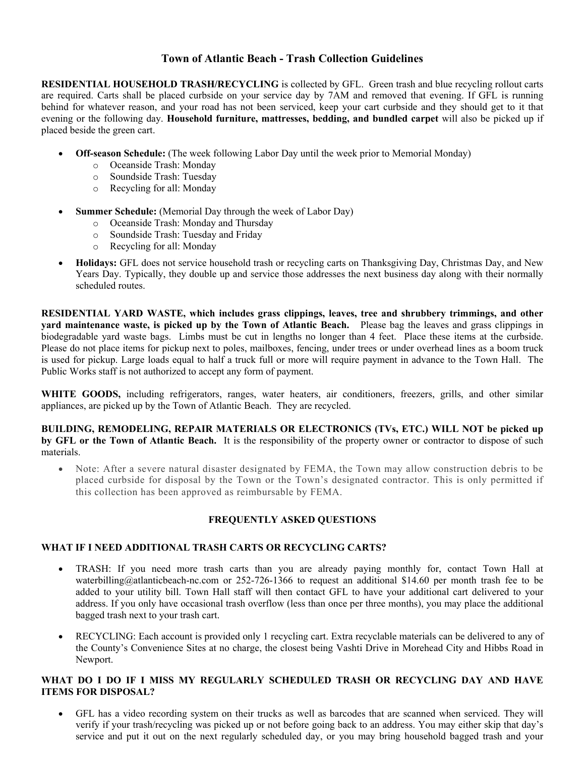# **Town of Atlantic Beach - Trash Collection Guidelines**

**RESIDENTIAL HOUSEHOLD TRASH/RECYCLING** is collected by GFL. Green trash and blue recycling rollout carts are required. Carts shall be placed curbside on your service day by 7AM and removed that evening. If GFL is running behind for whatever reason, and your road has not been serviced, keep your cart curbside and they should get to it that evening or the following day. **Household furniture, mattresses, bedding, and bundled carpet** will also be picked up if placed beside the green cart.

- **Off-season Schedule:** (The week following Labor Day until the week prior to Memorial Monday)
	- o Oceanside Trash: Monday
	- o Soundside Trash: Tuesday
	- o Recycling for all: Monday
- **Summer Schedule:** (Memorial Day through the week of Labor Day)
	- o Oceanside Trash: Monday and Thursday
	- o Soundside Trash: Tuesday and Friday
	- o Recycling for all: Monday
- **Holidays:** GFL does not service household trash or recycling carts on Thanksgiving Day, Christmas Day, and New Years Day. Typically, they double up and service those addresses the next business day along with their normally scheduled routes.

**RESIDENTIAL YARD WASTE, which includes grass clippings, leaves, tree and shrubbery trimmings, and other yard maintenance waste, is picked up by the Town of Atlantic Beach.** Please bag the leaves and grass clippings in biodegradable yard waste bags. Limbs must be cut in lengths no longer than 4 feet. Place these items at the curbside. Please do not place items for pickup next to poles, mailboxes, fencing, under trees or under overhead lines as a boom truck is used for pickup. Large loads equal to half a truck full or more will require payment in advance to the Town Hall. The Public Works staff is not authorized to accept any form of payment.

**WHITE GOODS,** including refrigerators, ranges, water heaters, air conditioners, freezers, grills, and other similar appliances, are picked up by the Town of Atlantic Beach. They are recycled.

**BUILDING, REMODELING, REPAIR MATERIALS OR ELECTRONICS (TVs, ETC.) WILL NOT be picked up by GFL or the Town of Atlantic Beach.** It is the responsibility of the property owner or contractor to dispose of such materials.

 Note: After a severe natural disaster designated by FEMA, the Town may allow construction debris to be placed curbside for disposal by the Town or the Town's designated contractor. This is only permitted if this collection has been approved as reimbursable by FEMA.

# **FREQUENTLY ASKED QUESTIONS**

#### **WHAT IF I NEED ADDITIONAL TRASH CARTS OR RECYCLING CARTS?**

- TRASH: If you need more trash carts than you are already paying monthly for, contact Town Hall at waterbilling@atlanticbeach-nc.com or 252-726-1366 to request an additional \$14.60 per month trash fee to be added to your utility bill. Town Hall staff will then contact GFL to have your additional cart delivered to your address. If you only have occasional trash overflow (less than once per three months), you may place the additional bagged trash next to your trash cart.
- RECYCLING: Each account is provided only 1 recycling cart. Extra recyclable materials can be delivered to any of the County's Convenience Sites at no charge, the closest being Vashti Drive in Morehead City and Hibbs Road in Newport.

#### **WHAT DO I DO IF I MISS MY REGULARLY SCHEDULED TRASH OR RECYCLING DAY AND HAVE ITEMS FOR DISPOSAL?**

 GFL has a video recording system on their trucks as well as barcodes that are scanned when serviced. They will verify if your trash/recycling was picked up or not before going back to an address. You may either skip that day's service and put it out on the next regularly scheduled day, or you may bring household bagged trash and your